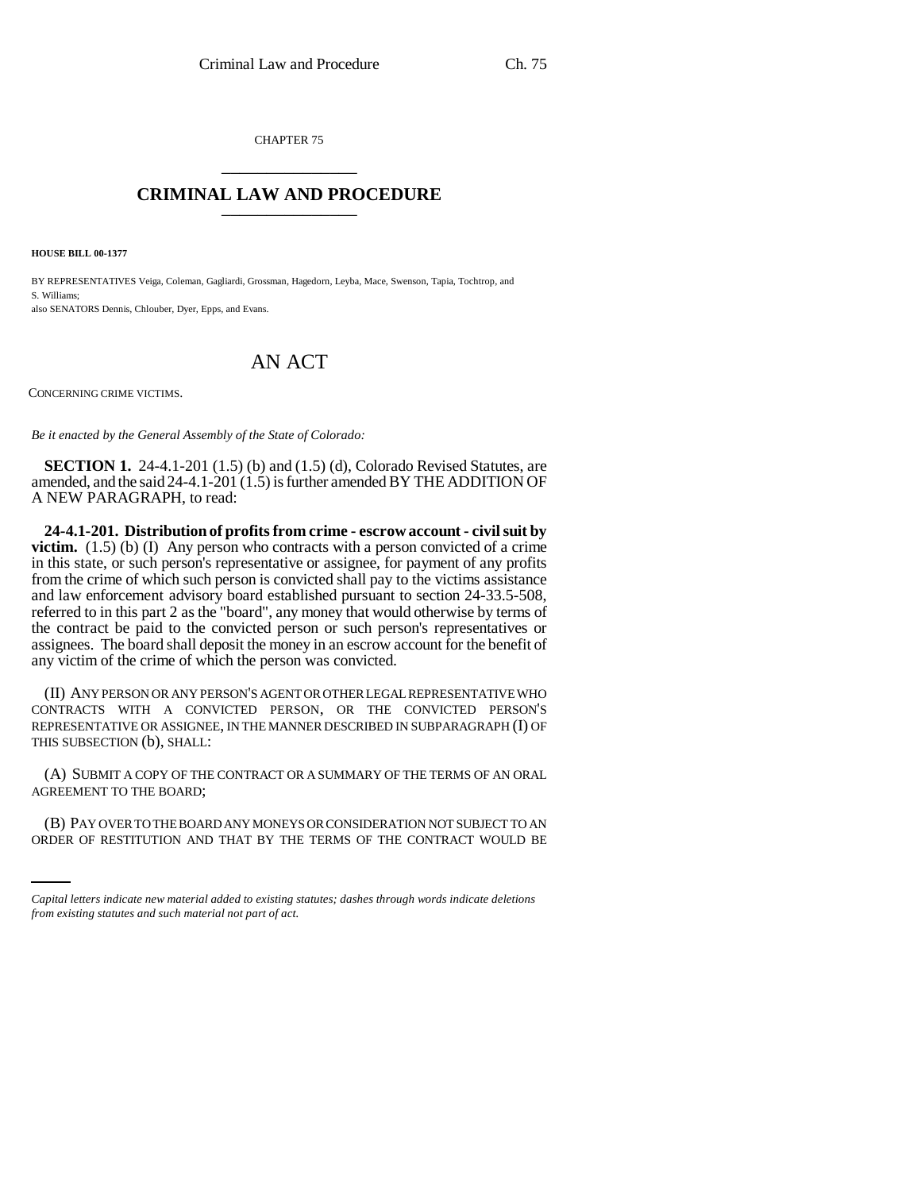CHAPTER 75 \_\_\_\_\_\_\_\_\_\_\_\_\_\_\_

## **CRIMINAL LAW AND PROCEDURE** \_\_\_\_\_\_\_\_\_\_\_\_\_\_\_

**HOUSE BILL 00-1377** 

BY REPRESENTATIVES Veiga, Coleman, Gagliardi, Grossman, Hagedorn, Leyba, Mace, Swenson, Tapia, Tochtrop, and S. Williams; also SENATORS Dennis, Chlouber, Dyer, Epps, and Evans.

## AN ACT

CONCERNING CRIME VICTIMS.

*Be it enacted by the General Assembly of the State of Colorado:*

**SECTION 1.** 24-4.1-201 (1.5) (b) and (1.5) (d), Colorado Revised Statutes, are amended, and the said 24-4.1-201 (1.5) is further amended BY THE ADDITION OF A NEW PARAGRAPH, to read:

**24-4.1-201. Distribution of profits from crime - escrow account - civil suit by victim.** (1.5) (b) (I) Any person who contracts with a person convicted of a crime in this state, or such person's representative or assignee, for payment of any profits from the crime of which such person is convicted shall pay to the victims assistance and law enforcement advisory board established pursuant to section 24-33.5-508, referred to in this part 2 as the "board", any money that would otherwise by terms of the contract be paid to the convicted person or such person's representatives or assignees. The board shall deposit the money in an escrow account for the benefit of any victim of the crime of which the person was convicted.

(II) ANY PERSON OR ANY PERSON'S AGENT OR OTHER LEGAL REPRESENTATIVE WHO CONTRACTS WITH A CONVICTED PERSON, OR THE CONVICTED PERSON'S REPRESENTATIVE OR ASSIGNEE, IN THE MANNER DESCRIBED IN SUBPARAGRAPH (I) OF THIS SUBSECTION (b), SHALL:

(A) SUBMIT A COPY OF THE CONTRACT OR A SUMMARY OF THE TERMS OF AN ORAL AGREEMENT TO THE BOARD;

(B) PAY OVER TO THE BOARD ANY MONEYS OR CONSIDERATION NOT SUBJECT TO AN ORDER OF RESTITUTION AND THAT BY THE TERMS OF THE CONTRACT WOULD BE

*Capital letters indicate new material added to existing statutes; dashes through words indicate deletions from existing statutes and such material not part of act.*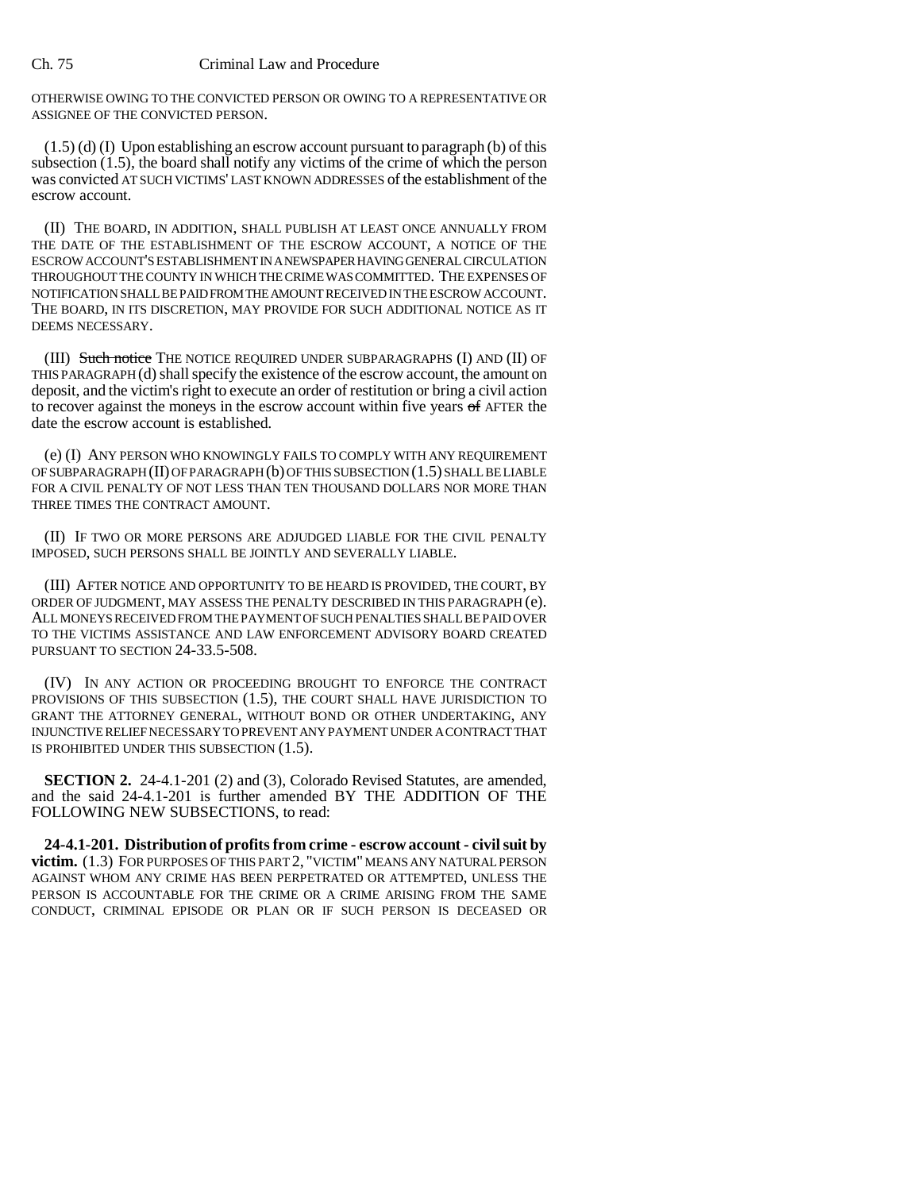## Ch. 75 Criminal Law and Procedure

OTHERWISE OWING TO THE CONVICTED PERSON OR OWING TO A REPRESENTATIVE OR ASSIGNEE OF THE CONVICTED PERSON.

(1.5) (d) (I) Upon establishing an escrow account pursuant to paragraph (b) of this subsection (1.5), the board shall notify any victims of the crime of which the person was convicted AT SUCH VICTIMS' LAST KNOWN ADDRESSES of the establishment of the escrow account.

(II) THE BOARD, IN ADDITION, SHALL PUBLISH AT LEAST ONCE ANNUALLY FROM THE DATE OF THE ESTABLISHMENT OF THE ESCROW ACCOUNT, A NOTICE OF THE ESCROW ACCOUNT'S ESTABLISHMENT IN A NEWSPAPER HAVING GENERAL CIRCULATION THROUGHOUT THE COUNTY IN WHICH THE CRIME WAS COMMITTED. THE EXPENSES OF NOTIFICATION SHALL BE PAID FROM THE AMOUNT RECEIVED IN THE ESCROW ACCOUNT. THE BOARD, IN ITS DISCRETION, MAY PROVIDE FOR SUCH ADDITIONAL NOTICE AS IT DEEMS NECESSARY.

(III) Such notice THE NOTICE REQUIRED UNDER SUBPARAGRAPHS (I) AND (II) OF THIS PARAGRAPH (d) shall specify the existence of the escrow account, the amount on deposit, and the victim's right to execute an order of restitution or bring a civil action to recover against the moneys in the escrow account within five years of AFTER the date the escrow account is established.

(e) (I) ANY PERSON WHO KNOWINGLY FAILS TO COMPLY WITH ANY REQUIREMENT OF SUBPARAGRAPH (II) OF PARAGRAPH (b) OF THIS SUBSECTION (1.5) SHALL BE LIABLE FOR A CIVIL PENALTY OF NOT LESS THAN TEN THOUSAND DOLLARS NOR MORE THAN THREE TIMES THE CONTRACT AMOUNT.

(II) IF TWO OR MORE PERSONS ARE ADJUDGED LIABLE FOR THE CIVIL PENALTY IMPOSED, SUCH PERSONS SHALL BE JOINTLY AND SEVERALLY LIABLE.

(III) AFTER NOTICE AND OPPORTUNITY TO BE HEARD IS PROVIDED, THE COURT, BY ORDER OF JUDGMENT, MAY ASSESS THE PENALTY DESCRIBED IN THIS PARAGRAPH (e). ALL MONEYS RECEIVED FROM THE PAYMENT OF SUCH PENALTIES SHALL BE PAID OVER TO THE VICTIMS ASSISTANCE AND LAW ENFORCEMENT ADVISORY BOARD CREATED PURSUANT TO SECTION 24-33.5-508.

(IV) IN ANY ACTION OR PROCEEDING BROUGHT TO ENFORCE THE CONTRACT PROVISIONS OF THIS SUBSECTION (1.5), THE COURT SHALL HAVE JURISDICTION TO GRANT THE ATTORNEY GENERAL, WITHOUT BOND OR OTHER UNDERTAKING, ANY INJUNCTIVE RELIEF NECESSARY TO PREVENT ANY PAYMENT UNDER A CONTRACT THAT IS PROHIBITED UNDER THIS SUBSECTION (1.5).

**SECTION 2.** 24-4.1-201 (2) and (3), Colorado Revised Statutes, are amended, and the said 24-4.1-201 is further amended BY THE ADDITION OF THE FOLLOWING NEW SUBSECTIONS, to read:

**24-4.1-201. Distribution of profits from crime - escrow account - civil suit by victim.** (1.3) FOR PURPOSES OF THIS PART 2, "VICTIM" MEANS ANY NATURAL PERSON AGAINST WHOM ANY CRIME HAS BEEN PERPETRATED OR ATTEMPTED, UNLESS THE PERSON IS ACCOUNTABLE FOR THE CRIME OR A CRIME ARISING FROM THE SAME CONDUCT, CRIMINAL EPISODE OR PLAN OR IF SUCH PERSON IS DECEASED OR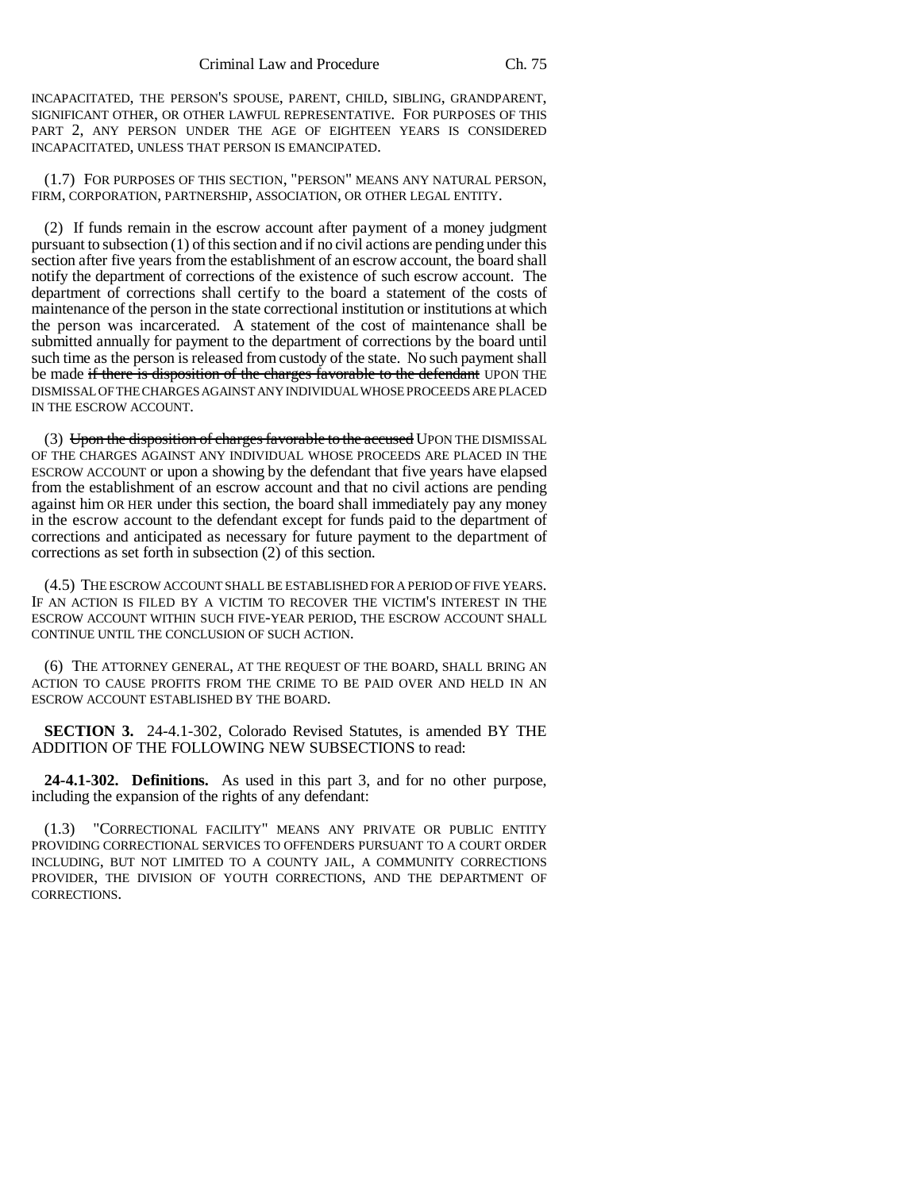INCAPACITATED, THE PERSON'S SPOUSE, PARENT, CHILD, SIBLING, GRANDPARENT, SIGNIFICANT OTHER, OR OTHER LAWFUL REPRESENTATIVE. FOR PURPOSES OF THIS PART 2, ANY PERSON UNDER THE AGE OF EIGHTEEN YEARS IS CONSIDERED INCAPACITATED, UNLESS THAT PERSON IS EMANCIPATED.

(1.7) FOR PURPOSES OF THIS SECTION, "PERSON" MEANS ANY NATURAL PERSON, FIRM, CORPORATION, PARTNERSHIP, ASSOCIATION, OR OTHER LEGAL ENTITY.

(2) If funds remain in the escrow account after payment of a money judgment pursuant to subsection (1) of this section and if no civil actions are pending under this section after five years from the establishment of an escrow account, the board shall notify the department of corrections of the existence of such escrow account. The department of corrections shall certify to the board a statement of the costs of maintenance of the person in the state correctional institution or institutions at which the person was incarcerated. A statement of the cost of maintenance shall be submitted annually for payment to the department of corrections by the board until such time as the person is released from custody of the state. No such payment shall be made if there is disposition of the charges favorable to the defendant UPON THE DISMISSAL OF THE CHARGES AGAINST ANY INDIVIDUAL WHOSE PROCEEDS ARE PLACED IN THE ESCROW ACCOUNT.

(3) Upon the disposition of charges favorable to the accused UPON THE DISMISSAL OF THE CHARGES AGAINST ANY INDIVIDUAL WHOSE PROCEEDS ARE PLACED IN THE ESCROW ACCOUNT or upon a showing by the defendant that five years have elapsed from the establishment of an escrow account and that no civil actions are pending against him OR HER under this section, the board shall immediately pay any money in the escrow account to the defendant except for funds paid to the department of corrections and anticipated as necessary for future payment to the department of corrections as set forth in subsection (2) of this section.

(4.5) THE ESCROW ACCOUNT SHALL BE ESTABLISHED FOR A PERIOD OF FIVE YEARS. IF AN ACTION IS FILED BY A VICTIM TO RECOVER THE VICTIM'S INTEREST IN THE ESCROW ACCOUNT WITHIN SUCH FIVE-YEAR PERIOD, THE ESCROW ACCOUNT SHALL CONTINUE UNTIL THE CONCLUSION OF SUCH ACTION.

(6) THE ATTORNEY GENERAL, AT THE REQUEST OF THE BOARD, SHALL BRING AN ACTION TO CAUSE PROFITS FROM THE CRIME TO BE PAID OVER AND HELD IN AN ESCROW ACCOUNT ESTABLISHED BY THE BOARD.

**SECTION 3.** 24-4.1-302, Colorado Revised Statutes, is amended BY THE ADDITION OF THE FOLLOWING NEW SUBSECTIONS to read:

**24-4.1-302. Definitions.** As used in this part 3, and for no other purpose, including the expansion of the rights of any defendant:

(1.3) "CORRECTIONAL FACILITY" MEANS ANY PRIVATE OR PUBLIC ENTITY PROVIDING CORRECTIONAL SERVICES TO OFFENDERS PURSUANT TO A COURT ORDER INCLUDING, BUT NOT LIMITED TO A COUNTY JAIL, A COMMUNITY CORRECTIONS PROVIDER, THE DIVISION OF YOUTH CORRECTIONS, AND THE DEPARTMENT OF CORRECTIONS.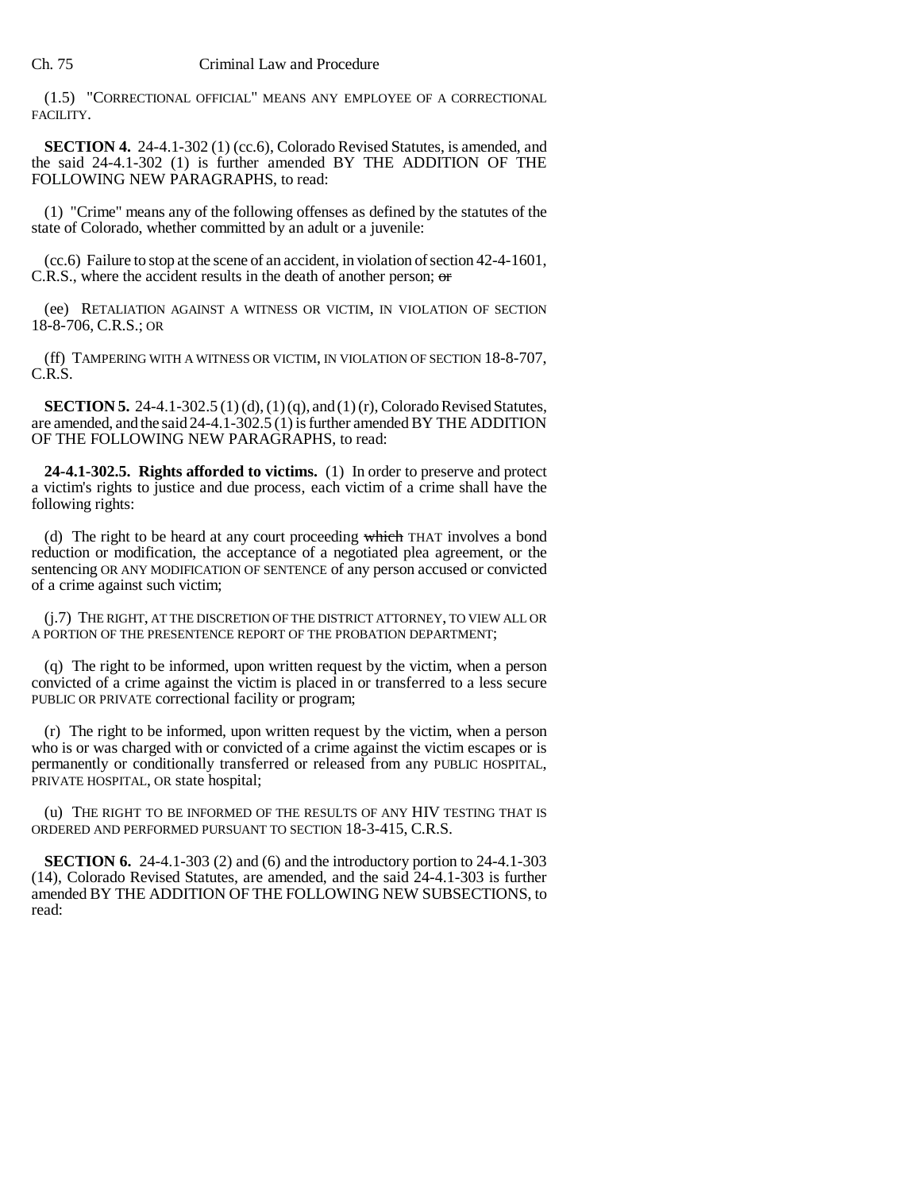(1.5) "CORRECTIONAL OFFICIAL" MEANS ANY EMPLOYEE OF A CORRECTIONAL FACILITY.

**SECTION 4.** 24-4.1-302 (1) (cc.6), Colorado Revised Statutes, is amended, and the said 24-4.1-302 (1) is further amended BY THE ADDITION OF THE FOLLOWING NEW PARAGRAPHS, to read:

(1) "Crime" means any of the following offenses as defined by the statutes of the state of Colorado, whether committed by an adult or a juvenile:

(cc.6) Failure to stop at the scene of an accident, in violation of section 42-4-1601, C.R.S., where the accident results in the death of another person; or

(ee) RETALIATION AGAINST A WITNESS OR VICTIM, IN VIOLATION OF SECTION 18-8-706, C.R.S.; OR

(ff) TAMPERING WITH A WITNESS OR VICTIM, IN VIOLATION OF SECTION 18-8-707, C.R.S.

**SECTION 5.** 24-4.1-302.5 (1) (d), (1) (q), and (1) (r), Colorado Revised Statutes, are amended, and the said 24-4.1-302.5 (1) is further amended BY THE ADDITION OF THE FOLLOWING NEW PARAGRAPHS, to read:

**24-4.1-302.5. Rights afforded to victims.** (1) In order to preserve and protect a victim's rights to justice and due process, each victim of a crime shall have the following rights:

(d) The right to be heard at any court proceeding which THAT involves a bond reduction or modification, the acceptance of a negotiated plea agreement, or the sentencing OR ANY MODIFICATION OF SENTENCE of any person accused or convicted of a crime against such victim;

(j.7) THE RIGHT, AT THE DISCRETION OF THE DISTRICT ATTORNEY, TO VIEW ALL OR A PORTION OF THE PRESENTENCE REPORT OF THE PROBATION DEPARTMENT;

(q) The right to be informed, upon written request by the victim, when a person convicted of a crime against the victim is placed in or transferred to a less secure PUBLIC OR PRIVATE correctional facility or program;

(r) The right to be informed, upon written request by the victim, when a person who is or was charged with or convicted of a crime against the victim escapes or is permanently or conditionally transferred or released from any PUBLIC HOSPITAL, PRIVATE HOSPITAL, OR state hospital;

(u) THE RIGHT TO BE INFORMED OF THE RESULTS OF ANY HIV TESTING THAT IS ORDERED AND PERFORMED PURSUANT TO SECTION 18-3-415, C.R.S.

**SECTION 6.** 24-4.1-303 (2) and (6) and the introductory portion to 24-4.1-303 (14), Colorado Revised Statutes, are amended, and the said 24-4.1-303 is further amended BY THE ADDITION OF THE FOLLOWING NEW SUBSECTIONS, to read: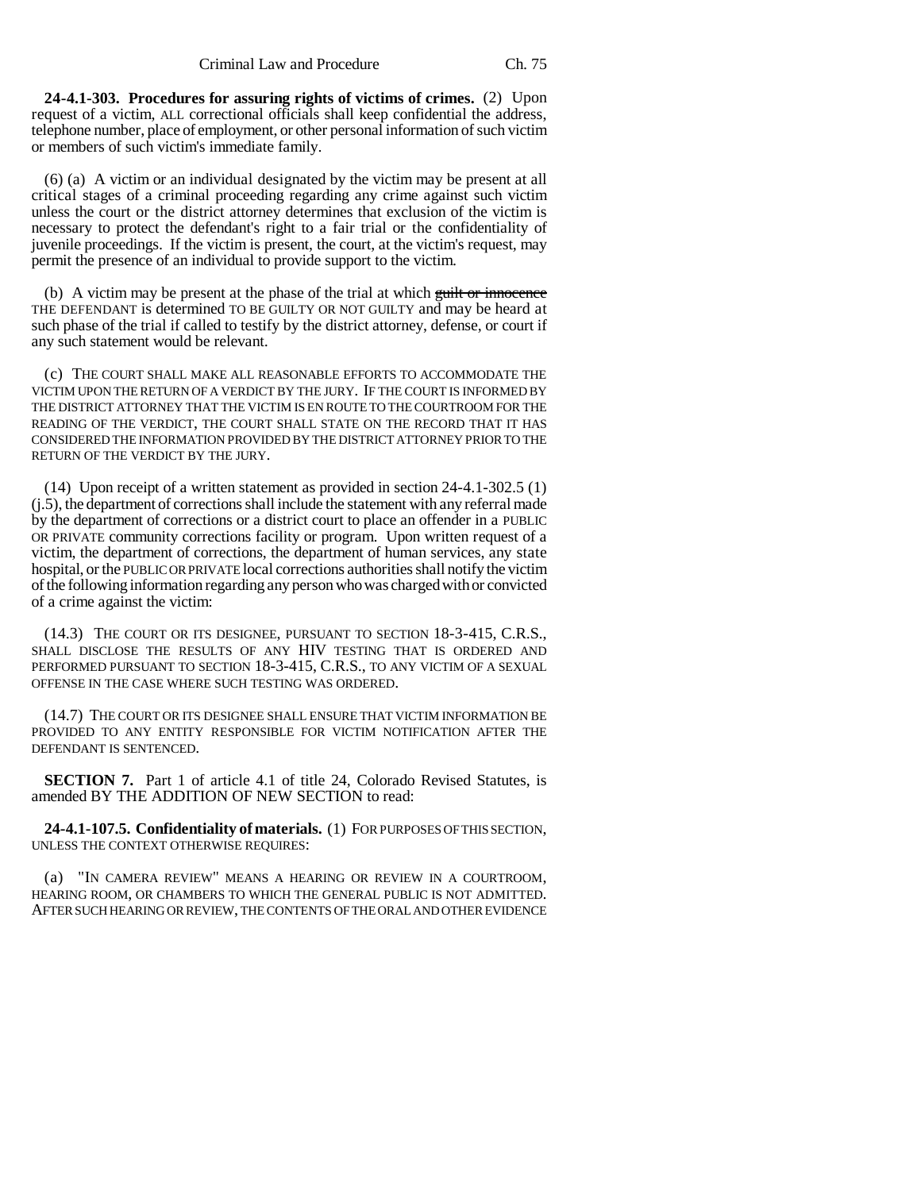**24-4.1-303. Procedures for assuring rights of victims of crimes.** (2) Upon request of a victim, ALL correctional officials shall keep confidential the address, telephone number, place of employment, or other personal information of such victim or members of such victim's immediate family.

(6) (a) A victim or an individual designated by the victim may be present at all critical stages of a criminal proceeding regarding any crime against such victim unless the court or the district attorney determines that exclusion of the victim is necessary to protect the defendant's right to a fair trial or the confidentiality of juvenile proceedings. If the victim is present, the court, at the victim's request, may permit the presence of an individual to provide support to the victim.

(b) A victim may be present at the phase of the trial at which  $\frac{1}{100}$  and  $\frac{1}{100}$  innocence THE DEFENDANT is determined TO BE GUILTY OR NOT GUILTY and may be heard at such phase of the trial if called to testify by the district attorney, defense, or court if any such statement would be relevant.

(c) THE COURT SHALL MAKE ALL REASONABLE EFFORTS TO ACCOMMODATE THE VICTIM UPON THE RETURN OF A VERDICT BY THE JURY. IF THE COURT IS INFORMED BY THE DISTRICT ATTORNEY THAT THE VICTIM IS EN ROUTE TO THE COURTROOM FOR THE READING OF THE VERDICT, THE COURT SHALL STATE ON THE RECORD THAT IT HAS CONSIDERED THE INFORMATION PROVIDED BY THE DISTRICT ATTORNEY PRIOR TO THE RETURN OF THE VERDICT BY THE JURY.

(14) Upon receipt of a written statement as provided in section 24-4.1-302.5 (1) (j.5), the department of corrections shall include the statement with any referral made by the department of corrections or a district court to place an offender in a PUBLIC OR PRIVATE community corrections facility or program. Upon written request of a victim, the department of corrections, the department of human services, any state hospital, or the PUBLIC OR PRIVATE local corrections authorities shall notify the victim of the following information regarding any person who was charged with or convicted of a crime against the victim:

(14.3) THE COURT OR ITS DESIGNEE, PURSUANT TO SECTION 18-3-415, C.R.S., SHALL DISCLOSE THE RESULTS OF ANY HIV TESTING THAT IS ORDERED AND PERFORMED PURSUANT TO SECTION 18-3-415, C.R.S., TO ANY VICTIM OF A SEXUAL OFFENSE IN THE CASE WHERE SUCH TESTING WAS ORDERED.

(14.7) THE COURT OR ITS DESIGNEE SHALL ENSURE THAT VICTIM INFORMATION BE PROVIDED TO ANY ENTITY RESPONSIBLE FOR VICTIM NOTIFICATION AFTER THE DEFENDANT IS SENTENCED.

**SECTION 7.** Part 1 of article 4.1 of title 24, Colorado Revised Statutes, is amended BY THE ADDITION OF NEW SECTION to read:

**24-4.1-107.5. Confidentiality of materials.** (1) FOR PURPOSES OF THIS SECTION, UNLESS THE CONTEXT OTHERWISE REQUIRES:

(a) "IN CAMERA REVIEW" MEANS A HEARING OR REVIEW IN A COURTROOM, HEARING ROOM, OR CHAMBERS TO WHICH THE GENERAL PUBLIC IS NOT ADMITTED. AFTER SUCH HEARING OR REVIEW, THE CONTENTS OF THE ORAL AND OTHER EVIDENCE